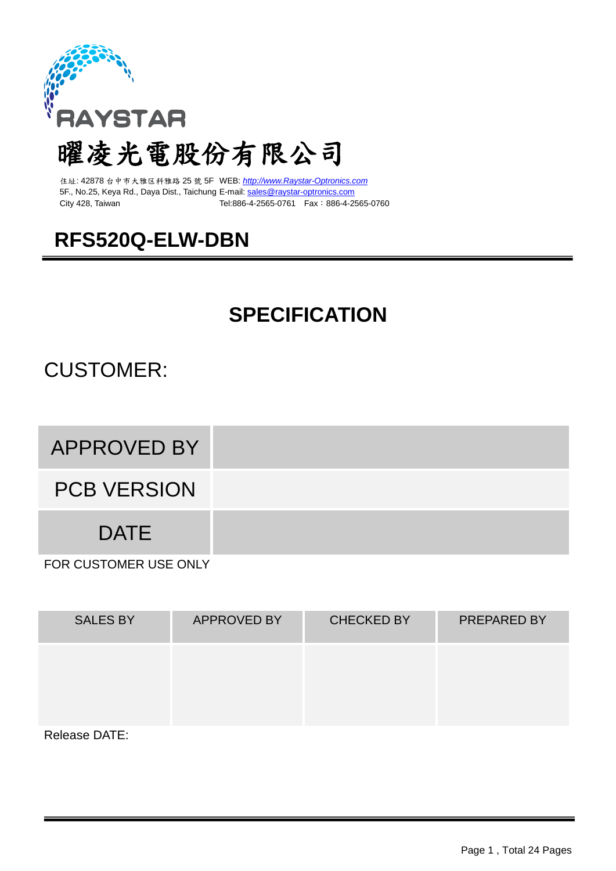

# 曜凌光電股份有限公司

住址: 42878 台中市大雅区科雅路 25 號 5F WEB: *[http://www.Raystar-Optronics.com](http://www.raystar.com/)* 5F., No.25, Keya Rd., Daya Dist., Taichung E-mail: [sales@raystar-optronics.com](mailto:sales@raystar-optronics.com) City 428, Taiwan Tel:886-4-2565-0761 Fax:886-4-2565-0760

## **RFS520Q-ELW-DBN**

## **SPECIFICATION**

## CUSTOMER:

## APPROVED BY

PCB VERSION

**DATE** 

FOR CUSTOMER USE ONLY

| <b>SALES BY</b> | <b>APPROVED BY</b> | <b>CHECKED BY</b> | <b>PREPARED BY</b> |
|-----------------|--------------------|-------------------|--------------------|
|                 |                    |                   |                    |
|                 |                    |                   |                    |
| Release DATE:   |                    |                   |                    |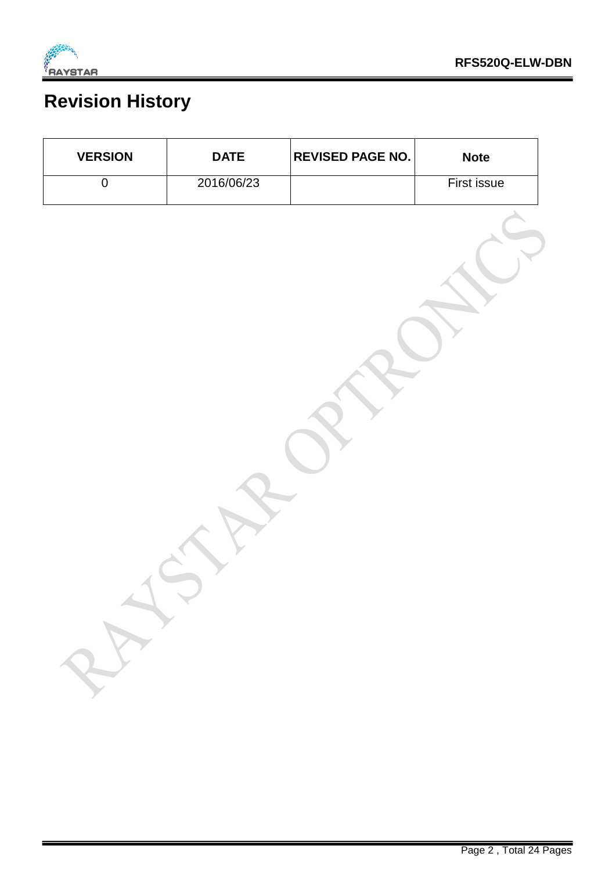

 $\mathsf{r}$ 

 $\overline{\phantom{a}}$ 

 $\overline{\phantom{a}}$ 

## **Revision History**

 $\overline{\mathbf{r}}$ 

| <b>VERSION</b> | <b>DATE</b> | <b>REVISED PAGE NO.</b> | <b>Note</b> |
|----------------|-------------|-------------------------|-------------|
| $\overline{0}$ | 2016/06/23  |                         | First issue |
|                |             |                         |             |
|                |             |                         |             |
|                |             |                         |             |
|                |             |                         |             |
|                |             |                         |             |
|                |             |                         |             |
|                |             |                         |             |
|                |             |                         |             |
|                |             |                         |             |
|                |             |                         |             |
|                |             |                         |             |
|                |             |                         |             |
|                |             |                         |             |
|                |             |                         |             |
|                |             |                         |             |
|                |             |                         |             |
| 25             |             |                         |             |
|                |             |                         |             |

 $\overline{\phantom{a}}$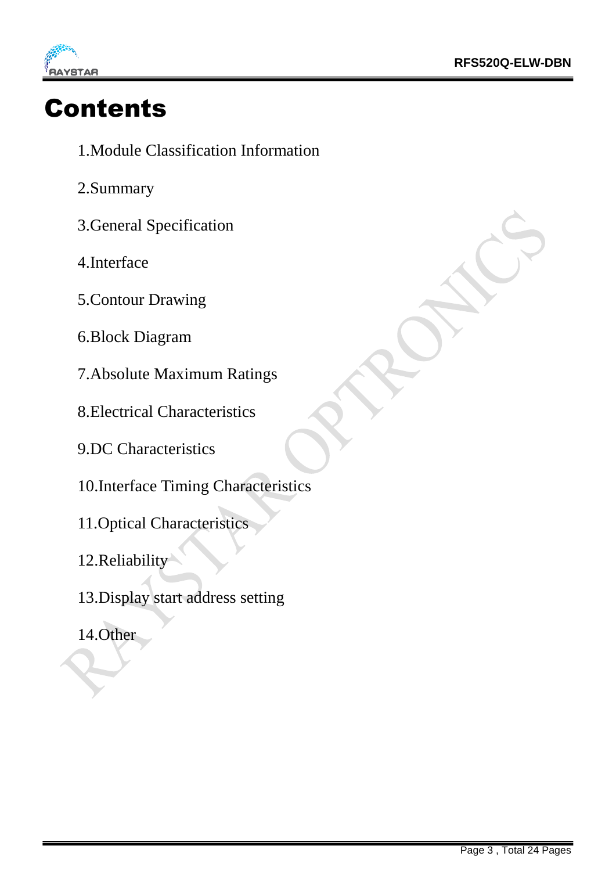

# Contents

- 1.Module Classification Information
- 2.Summary
- 3.General Specification
- 4.Interface
- 5.Contour Drawing
- 6.Block Diagram
- 7.Absolute Maximum Ratings
- 8.Electrical Characteristics
- 9.DC Characteristics
- 10.Interface Timing Characteristics
- 11.Optical Characteristics
- 12.Reliability
- 13.Display start address setting
- 14.Other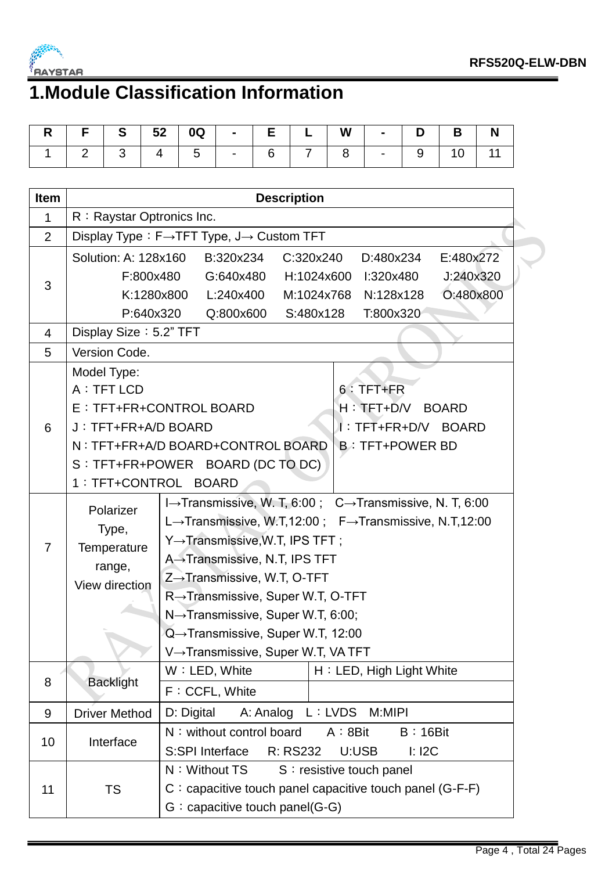

# **1.Module Classification Information**

|  | R   F   S   52   0Q   -   E   L   W   -   D   B   N |  |  |  |  |  |
|--|-----------------------------------------------------|--|--|--|--|--|
|  | 1   2   3   4   5   -   6   7   8   -   9   10   11 |  |  |  |  |  |

| <b>Item</b>    | <b>Description</b>                                                                    |                                                                                                        |  |  |  |  |  |  |  |
|----------------|---------------------------------------------------------------------------------------|--------------------------------------------------------------------------------------------------------|--|--|--|--|--|--|--|
| 1              | R: Raystar Optronics Inc.                                                             |                                                                                                        |  |  |  |  |  |  |  |
| $\overline{2}$ | Display Type: F→TFT Type, J→ Custom TFT                                               |                                                                                                        |  |  |  |  |  |  |  |
|                | Solution: A: 128x160<br>C:320x240<br>D:480x234<br>E:480x272<br>B:320x234<br>F:800x480 |                                                                                                        |  |  |  |  |  |  |  |
| 3              | K:1280x800                                                                            | J:240x320<br>G:640x480<br>H:1024x600<br>l:320x480<br>O:480x800<br>L:240x400<br>M:1024x768<br>N:128x128 |  |  |  |  |  |  |  |
|                | P:640x320                                                                             | Q:800x600<br>S:480x128<br>T:800x320                                                                    |  |  |  |  |  |  |  |
| 4              | Display Size: 5.2" TFT                                                                |                                                                                                        |  |  |  |  |  |  |  |
| 5              | Version Code.                                                                         |                                                                                                        |  |  |  |  |  |  |  |
|                | Model Type:                                                                           |                                                                                                        |  |  |  |  |  |  |  |
|                | A : TFT LCD                                                                           | $6:$ TFT+FR                                                                                            |  |  |  |  |  |  |  |
|                |                                                                                       | E : TFT+FR+CONTROL BOARD<br>H: TET+D/V BOARD                                                           |  |  |  |  |  |  |  |
| 6              | J: TFT+FR+A/D BOARD                                                                   | I: TFT+FR+D/V BOARD                                                                                    |  |  |  |  |  |  |  |
|                |                                                                                       | N: TFT+FR+A/D BOARD+CONTROL BOARD<br><b>B: TFT+POWER BD</b>                                            |  |  |  |  |  |  |  |
|                |                                                                                       | S : TFT+FR+POWER BOARD (DC TO DC)                                                                      |  |  |  |  |  |  |  |
|                |                                                                                       | 1 : TFT+CONTROL BOARD                                                                                  |  |  |  |  |  |  |  |
|                | Polarizer                                                                             | I→Transmissive, W. T, 6:00; C→Transmissive, N. T, 6:00                                                 |  |  |  |  |  |  |  |
|                | Type,                                                                                 | L→Transmissive, W.T,12:00; F→Transmissive, N.T,12:00                                                   |  |  |  |  |  |  |  |
| 7              | Temperature                                                                           | Y→Transmissive, W.T, IPS TFT;                                                                          |  |  |  |  |  |  |  |
|                | range,                                                                                | A→Transmissive, N.T, IPS TFT                                                                           |  |  |  |  |  |  |  |
|                | View direction                                                                        | $Z \rightarrow$ Transmissive, W.T, O-TFT                                                               |  |  |  |  |  |  |  |
|                |                                                                                       | R→Transmissive, Super W.T, O-TFT                                                                       |  |  |  |  |  |  |  |
|                |                                                                                       | $N \rightarrow$ Transmissive, Super W.T, 6:00;                                                         |  |  |  |  |  |  |  |
|                |                                                                                       | Q→Transmissive, Super W.T, 12:00                                                                       |  |  |  |  |  |  |  |
|                |                                                                                       | V→Transmissive, Super W.T, VA TFT                                                                      |  |  |  |  |  |  |  |
| 8              | <b>Backlight</b>                                                                      | W: LED, White<br>H: LED, High Light White                                                              |  |  |  |  |  |  |  |
|                |                                                                                       | F: CCFL, White                                                                                         |  |  |  |  |  |  |  |
| 9              | <b>Driver Method</b>                                                                  | D: Digital<br>A: Analog<br>L: LVDS<br>M:MIPI                                                           |  |  |  |  |  |  |  |
| 10             | Interface                                                                             | N: without control board<br>A:8Bit<br>$B:16B$ it                                                       |  |  |  |  |  |  |  |
|                |                                                                                       | R: RS232<br>S:SPI Interface<br>U:USB<br>$l:$ I2C                                                       |  |  |  |  |  |  |  |
|                |                                                                                       | N: Without TS<br>S : resistive touch panel                                                             |  |  |  |  |  |  |  |
| 11             | <b>TS</b>                                                                             | $C$ : capacitive touch panel capacitive touch panel (G-F-F)                                            |  |  |  |  |  |  |  |
|                |                                                                                       | $G:$ capacitive touch panel(G-G)                                                                       |  |  |  |  |  |  |  |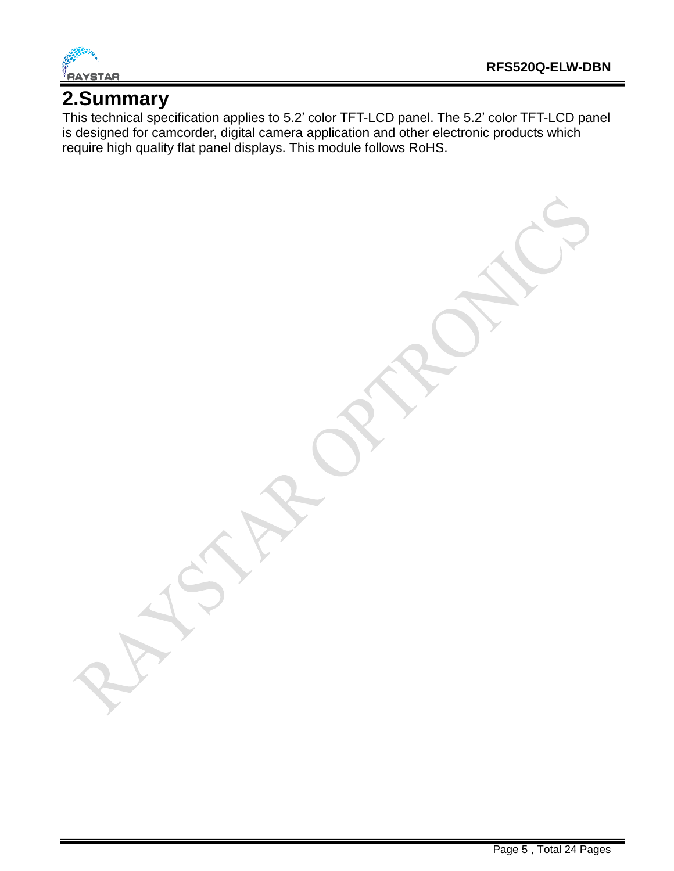

## **2.Summary**

This technical specification applies to 5.2' color TFT-LCD panel. The 5.2' color TFT-LCD panel is designed for camcorder, digital camera application and other electronic products which require high quality flat panel displays. This module follows RoHS.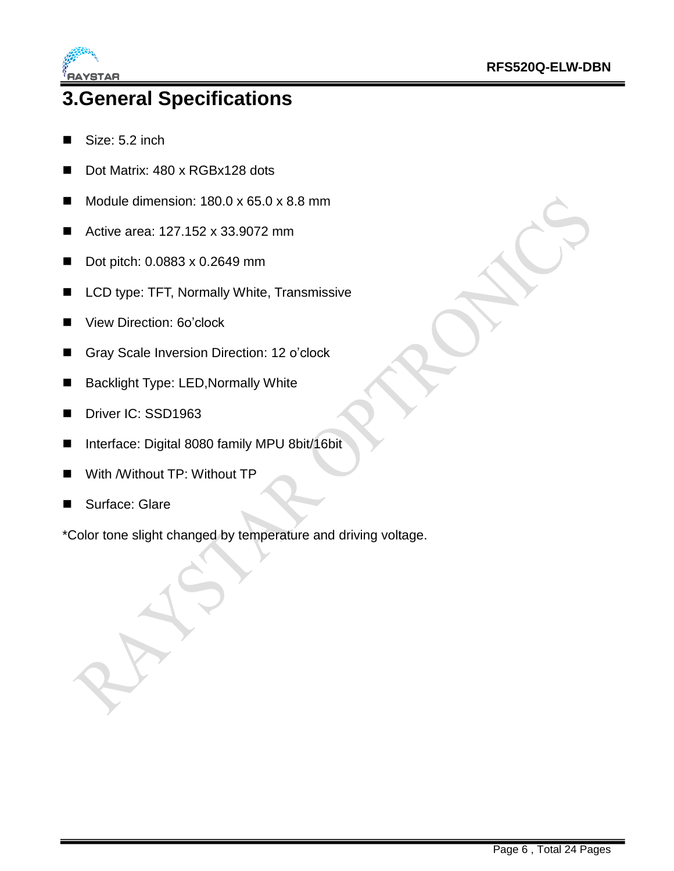

## **3.General Specifications**

- Size: 5.2 inch
- Dot Matrix: 480 x RGBx128 dots
- Module dimension:  $180.0 \times 65.0 \times 8.8 \text{ mm}$
- Active area: 127.152 x 33.9072 mm
- Dot pitch:  $0.0883 \times 0.2649$  mm
- LCD type: TFT, Normally White, Transmissive
- View Direction: 60'clock
- Gray Scale Inversion Direction: 12 o'clock
- Backlight Type: LED, Normally White
- Driver IC: SSD1963
- Interface: Digital 8080 family MPU 8bit/16bit
- With /Without TP: Without TP
- Surface: Glare

\*Color tone slight changed by temperature and driving voltage.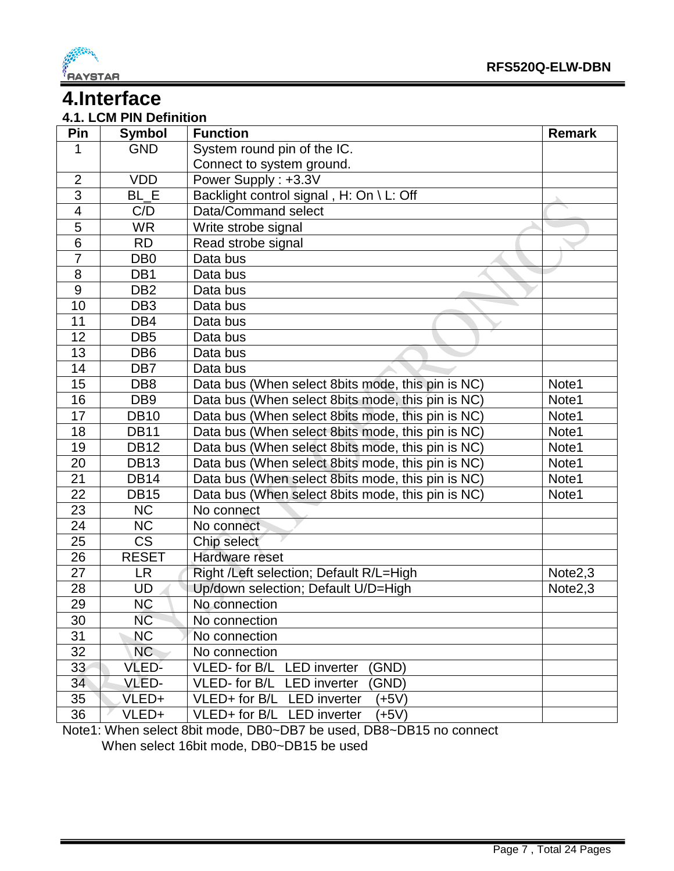

## **4.Interface**

#### **4.1. LCM PIN Definition**

| Pin             | <b>Symbol</b>   | <b>Function</b>                                   | <b>Remark</b>       |
|-----------------|-----------------|---------------------------------------------------|---------------------|
| 1               | <b>GND</b>      | System round pin of the IC.                       |                     |
|                 |                 | Connect to system ground.                         |                     |
| $\overline{2}$  | <b>VDD</b>      | Power Supply: +3.3V                               |                     |
| 3               | BL E            | Backlight control signal, H: On \ L: Off          |                     |
| 4               | C/D             | Data/Command select                               |                     |
| 5               | <b>WR</b>       | Write strobe signal                               |                     |
| $\overline{6}$  | <b>RD</b>       | Read strobe signal                                |                     |
| $\overline{7}$  | DB <sub>0</sub> | Data bus                                          |                     |
| 8               | DB1             | Data bus                                          |                     |
| $9\,$           | DB <sub>2</sub> | Data bus                                          |                     |
| 10              | DB <sub>3</sub> | Data bus                                          |                     |
| 11              | DB4             | Data bus                                          |                     |
| 12              | DB <sub>5</sub> | Data bus                                          |                     |
| 13              | DB <sub>6</sub> | Data bus                                          |                     |
| 14              | DB <sub>7</sub> | Data bus                                          |                     |
| 15              | DB <sub>8</sub> | Data bus (When select 8bits mode, this pin is NC) | Note1               |
| 16              | DB <sub>9</sub> | Data bus (When select 8bits mode, this pin is NC) | Note1               |
| 17              | <b>DB10</b>     | Data bus (When select 8bits mode, this pin is NC) | Note1               |
| 18              | <b>DB11</b>     | Data bus (When select 8bits mode, this pin is NC) | Note1               |
| 19              | <b>DB12</b>     | Data bus (When select 8bits mode, this pin is NC) | Note1               |
| 20              | <b>DB13</b>     | Data bus (When select 8bits mode, this pin is NC) | Note1               |
| 21              | <b>DB14</b>     | Data bus (When select 8bits mode, this pin is NC) | Note1               |
| $\overline{22}$ | <b>DB15</b>     | Data bus (When select 8bits mode, this pin is NC) | Note1               |
| 23              | <b>NC</b>       | No connect                                        |                     |
| 24              | NC              | No connect                                        |                     |
| 25              | <b>CS</b>       | Chip select                                       |                     |
| 26              | <b>RESET</b>    | Hardware reset                                    |                     |
| 27              | <b>LR</b>       | Right /Left selection; Default R/L=High           | Note <sub>2,3</sub> |
| 28              | UD              | Up/down selection; Default U/D=High               | Note <sub>2,3</sub> |
| 29              | <b>NC</b>       | No connection                                     |                     |
| 30              | <b>NC</b>       | No connection                                     |                     |
| 31              | <b>NC</b>       | No connection                                     |                     |
| 32              | NC              | No connection                                     |                     |
| 33              | VLED-           | (GND)<br>VLED- for B/L LED inverter               |                     |
| 34              | VLED-           | VLED- for B/L LED inverter<br>(GND)               |                     |
| 35              | VLED+           | VLED+ for B/L<br><b>LED</b> inverter<br>$(+5V)$   |                     |
| 36              | VLED+           | VLED+ for B/L LED inverter<br>$(+5V)$             |                     |

Note1: When select 8bit mode, DB0~DB7 be used, DB8~DB15 no connect When select 16bit mode, DB0~DB15 be used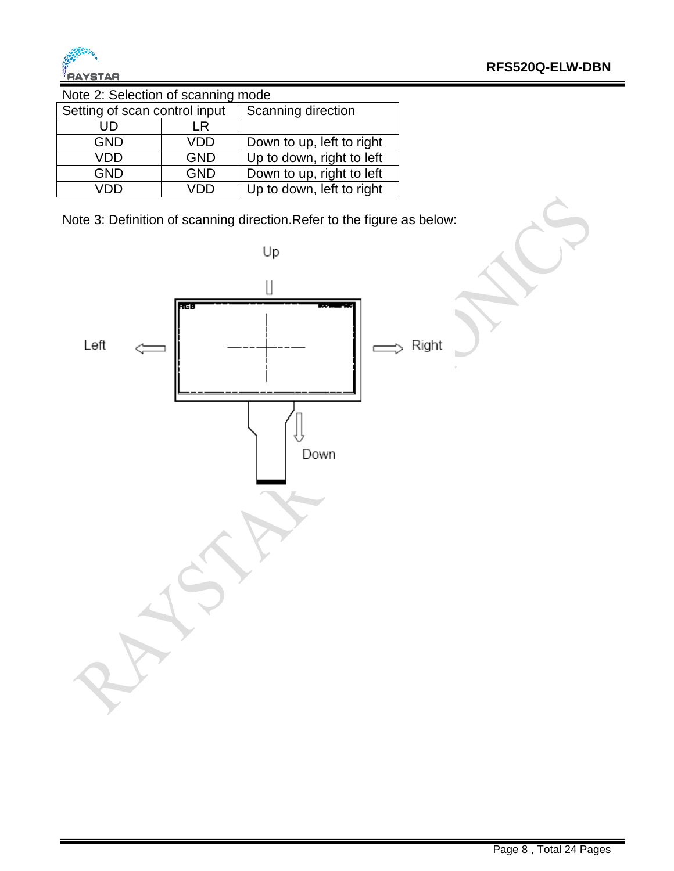

Note 2: Selection of scanning mode

| Setting of scan control input |            | Scanning direction        |  |  |  |  |  |
|-------------------------------|------------|---------------------------|--|--|--|--|--|
| UD                            | LR         |                           |  |  |  |  |  |
| <b>GND</b>                    | VDD        | Down to up, left to right |  |  |  |  |  |
| VDD                           | <b>GND</b> | Up to down, right to left |  |  |  |  |  |
| <b>GND</b>                    | <b>GND</b> | Down to up, right to left |  |  |  |  |  |
| חחו                           | חח/        | Up to down, left to right |  |  |  |  |  |

Note 3: Definition of scanning direction.Refer to the figure as below:

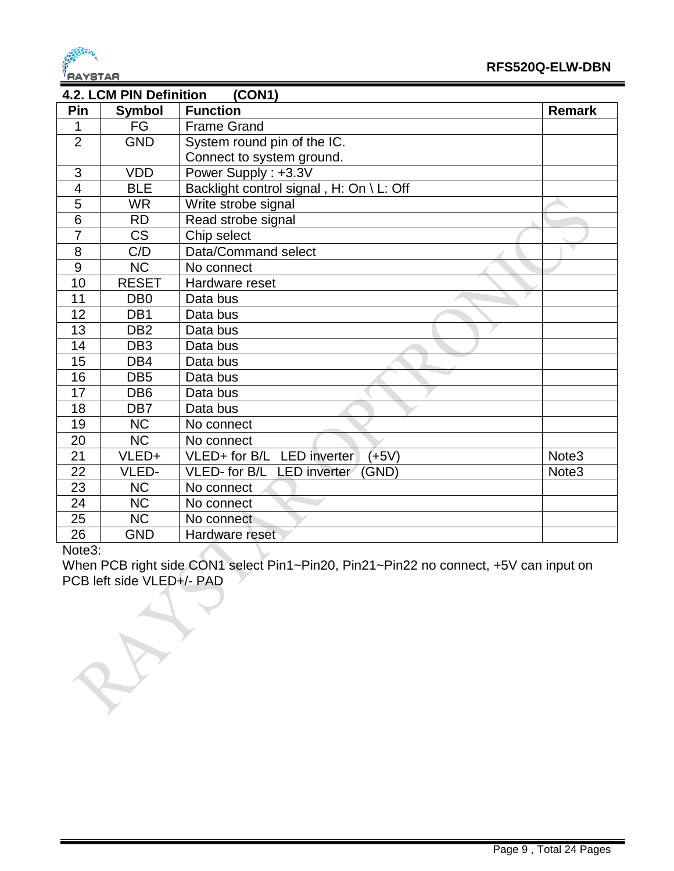

| (CON1)<br><b>4.2. LCM PIN Definition</b> |                        |                                          |                   |  |  |  |
|------------------------------------------|------------------------|------------------------------------------|-------------------|--|--|--|
| Pin                                      | <b>Symbol</b>          | <b>Function</b>                          | <b>Remark</b>     |  |  |  |
| 1                                        | FG                     | <b>Frame Grand</b>                       |                   |  |  |  |
| $\overline{2}$                           | <b>GND</b>             | System round pin of the IC.              |                   |  |  |  |
|                                          |                        | Connect to system ground.                |                   |  |  |  |
| 3                                        | <b>VDD</b>             | Power Supply: +3.3V                      |                   |  |  |  |
| $\overline{\mathcal{A}}$                 | <b>BLE</b>             | Backlight control signal, H: On \ L: Off |                   |  |  |  |
| 5                                        | <b>WR</b>              | Write strobe signal                      |                   |  |  |  |
| 6                                        | <b>RD</b>              | Read strobe signal                       |                   |  |  |  |
| $\overline{7}$                           | $\overline{\text{CS}}$ | Chip select                              |                   |  |  |  |
| 8                                        | C/D                    | Data/Command select                      |                   |  |  |  |
| 9                                        | <b>NC</b>              | No connect                               |                   |  |  |  |
| 10                                       | <b>RESET</b>           | Hardware reset                           |                   |  |  |  |
| 11                                       | D <sub>B</sub> 0       | Data bus                                 |                   |  |  |  |
| 12                                       | DB <sub>1</sub>        | Data bus                                 |                   |  |  |  |
| 13                                       | DB <sub>2</sub>        | Data bus                                 |                   |  |  |  |
| 14                                       | DB <sub>3</sub>        | Data bus                                 |                   |  |  |  |
| 15                                       | DB4                    | Data bus                                 |                   |  |  |  |
| 16                                       | DB <sub>5</sub>        | Data bus                                 |                   |  |  |  |
| 17                                       | DB <sub>6</sub>        | Data bus                                 |                   |  |  |  |
| 18                                       | DB <sub>7</sub>        | Data bus                                 |                   |  |  |  |
| 19                                       | <b>NC</b>              | No connect                               |                   |  |  |  |
| 20                                       | <b>NC</b>              | No connect                               |                   |  |  |  |
| 21                                       | VLED+                  | VLED+ for B/L LED inverter<br>$(+5V)$    | Note <sub>3</sub> |  |  |  |
| 22                                       | VLED-                  | VLED- for B/L LED inverter<br>(GND)      | Note <sub>3</sub> |  |  |  |
| 23                                       | <b>NC</b>              | No connect                               |                   |  |  |  |
| 24                                       | <b>NC</b>              | No connect                               |                   |  |  |  |
| 25                                       | <b>NC</b>              | No connect                               |                   |  |  |  |
| 26                                       | <b>GND</b>             | Hardware reset                           |                   |  |  |  |

#### Note3:

When PCB right side CON1 select Pin1~Pin20, Pin21~Pin22 no connect, +5V can input on PCB left side VLED+/- PAD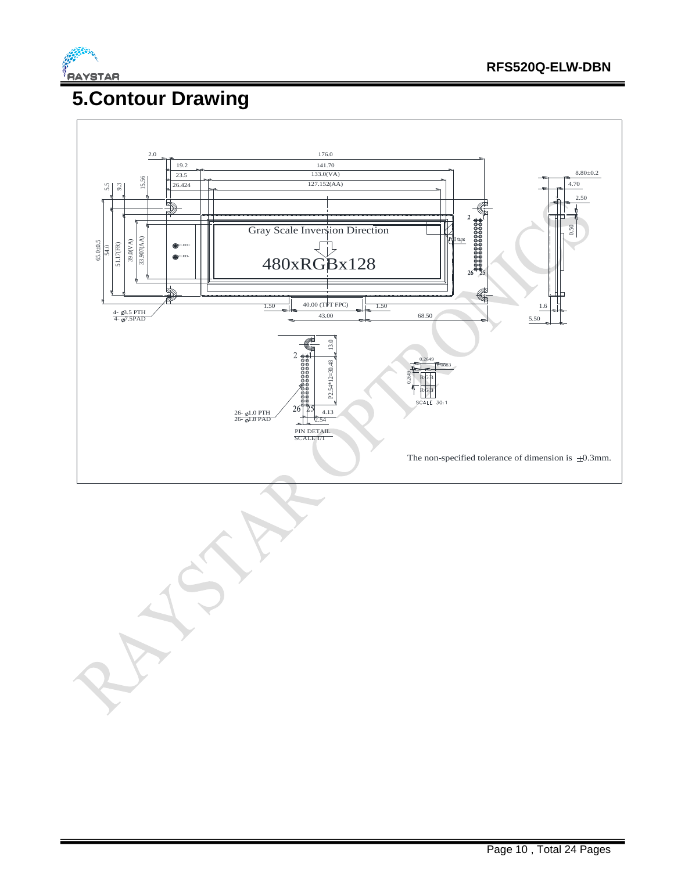

## **5.Contour Drawing**



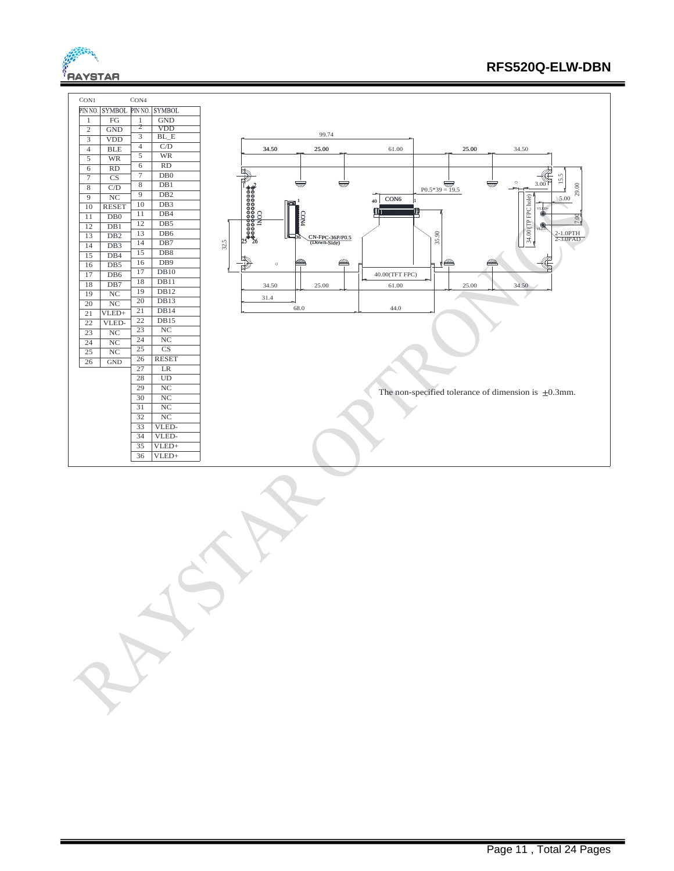

#### **RFS520Q-ELW-DBN**

| CON4<br>CON1                                              |                                                                                          |
|-----------------------------------------------------------|------------------------------------------------------------------------------------------|
| PIN NO.<br><b>SYMBOL</b><br>PIN NO.<br><b>SYMBOL</b>      |                                                                                          |
| FG<br>GND<br>$\mathbf{1}$<br>$\mathbf{1}$                 |                                                                                          |
| 2<br><b>VDD</b><br><b>GND</b><br>$\overline{c}$           | 99.74                                                                                    |
| $BL_E$<br>3<br><b>VDD</b><br>3                            |                                                                                          |
| C/D<br>$\overline{4}$<br>$_{\rm BLE}$<br>$\overline{4}$   | 25.00<br>34.50<br>34.50<br>61.00<br>25.00                                                |
| $\overline{5}$<br><b>WR</b><br>5<br><b>WR</b>             |                                                                                          |
| RD<br>6<br>6<br>RD                                        |                                                                                          |
| $\tau$<br>DB0<br>$\overline{7}$<br>$\overline{\text{CS}}$ | 5<br>15.<br>$3.00^{27}$                                                                  |
| 8<br>DB1<br>8<br>C/D                                      | <u>simp</u><br>TITT<br>Ā<br>$P0.5*39 = 19.5$<br>29.00                                    |
| DB2<br>9<br>NC<br>9                                       | 5.00<br>CON6<br>40                                                                       |
| DB3<br>10<br><b>RESET</b><br>10                           | VLED-                                                                                    |
| DB4<br>11<br>11<br>DB0                                    | `#0000000000 <del>0</del><br>`#00000000000<br>``#000000000000<br>CON4<br>$\overline{5}$  |
| 12<br>DB5<br>DB1<br>12                                    | VLED                                                                                     |
| DB6<br>13<br>13<br>DB <sub>2</sub>                        | $34.00$ (TP FPC hole)<br>35.90<br>2-1.0PTH<br>2-3.0PAD<br>CN-FPC-36P/P0.5<br>(Down-Side) |
| DB7<br>14<br>14<br>DB3                                    | 32.5                                                                                     |
| DB <sub>8</sub><br>15<br>15<br>DB4                        | $\ell \ell$                                                                              |
| DB9<br>16<br>DB5<br>16                                    | $\mathbb{Z}$<br>am<br>$\circ$<br>Æ                                                       |
| DB10<br>17<br>DB6<br>17<br>DB11                           | 40.00(TFT FPC)                                                                           |
| 18<br>18<br>DB7<br>DB12<br>19                             | 34.50<br>25.00<br>61.00<br>25.00<br>34.50                                                |
| NC<br>19<br>DB13<br>20                                    | 31.4                                                                                     |
| NC<br>20<br>DB14<br>21                                    | 44.0<br>68.0                                                                             |
| $VLED+$<br>$\overline{21}$<br>DB15<br>22                  |                                                                                          |
| 22<br>VLED-<br>NC<br>23                                   |                                                                                          |
| NC<br>23<br>NC<br>24                                      |                                                                                          |
| 24<br>NC<br>$\overline{\text{CS}}$<br>25                  |                                                                                          |
| $\overline{25}$<br>NC<br><b>RESET</b><br>26               |                                                                                          |
| 26<br>GND<br>27<br>LR                                     |                                                                                          |
| 28<br>UD                                                  |                                                                                          |
| $\overline{\text{NC}}$<br>29                              |                                                                                          |
| NC<br>30                                                  | The non-specified tolerance of dimension is $\pm 0.3$ mm.                                |
| NC<br>31                                                  |                                                                                          |
| NC<br>32                                                  |                                                                                          |
| 33<br>VLED-                                               |                                                                                          |
| 34<br>VLED-                                               |                                                                                          |
| VLED+<br>35                                               |                                                                                          |
| $VLED+$<br>36                                             |                                                                                          |
|                                                           |                                                                                          |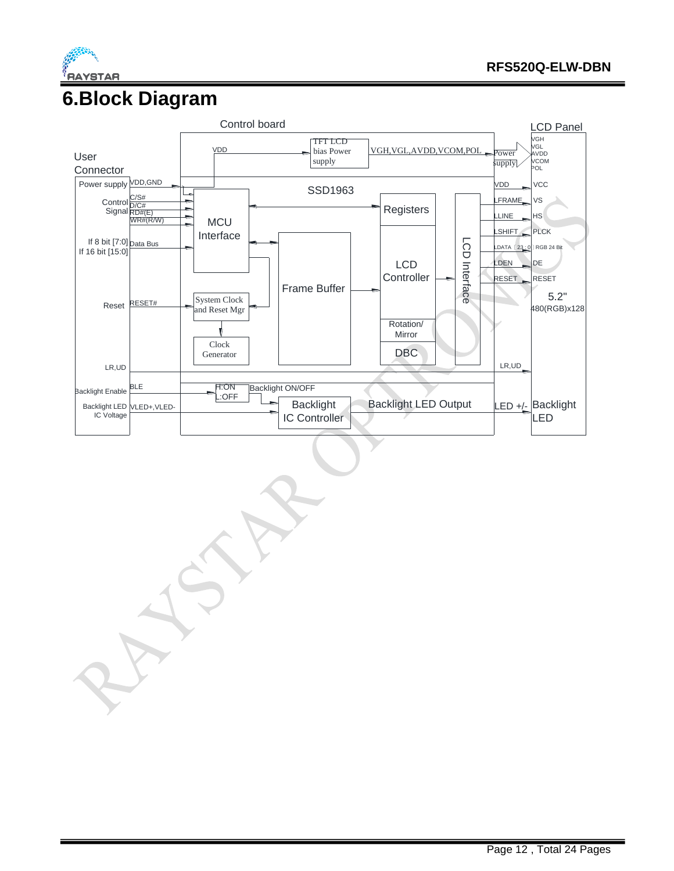

#### **6.Block Diagram**

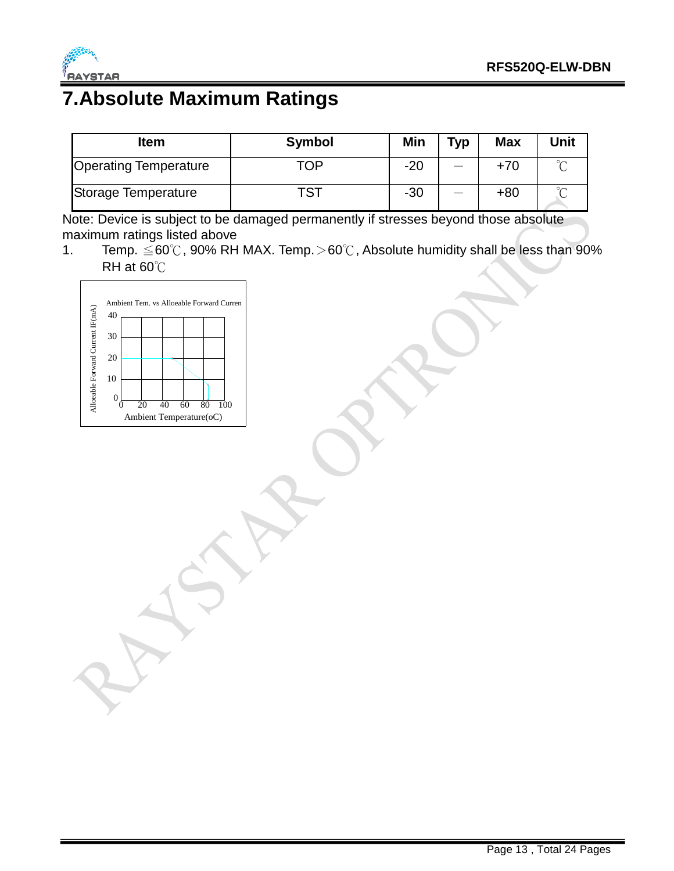

## **7.Absolute Maximum Ratings**

| <b>Item</b>                  | <b>Symbol</b> | Min   | <b>Typ</b> | <b>Max</b> | Unit |
|------------------------------|---------------|-------|------------|------------|------|
| <b>Operating Temperature</b> | TOP           | $-20$ |            | +70        |      |
| Storage Temperature          | тст           | $-30$ |            | $+80$      |      |

Note: Device is subject to be damaged permanently if stresses beyond those absolute maximum ratings listed above

1. Temp. ≦60℃, 90% RH MAX. Temp.>60℃, Absolute humidity shall be less than 90% RH at 60℃

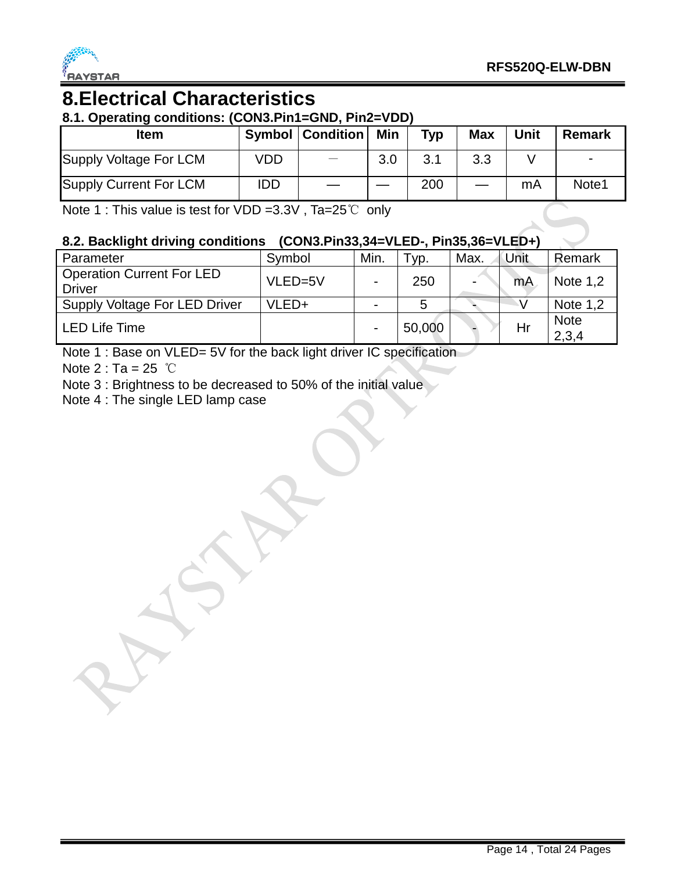

#### **8.Electrical Characteristics 8.1. Operating conditions: (CON3.Pin1=GND, Pin2=VDD)**

| 0.1. Operating conditions. (CONJ.FIIIT=GND, FIIIZ=VDD)<br>ltem |            | <b>Symbol   Condition  </b> | Min | Typ | <b>Max</b> | <b>Unit</b> | <b>Remark</b> |
|----------------------------------------------------------------|------------|-----------------------------|-----|-----|------------|-------------|---------------|
| Supply Voltage For LCM                                         | VDD        |                             | 3.0 | 3.1 | 3.3        |             |               |
| Supply Current For LCM                                         | <b>IDD</b> |                             |     | 200 |            | mA          | Note1         |

Note 1 : This value is test for VDD =3.3V , Ta=25℃ only

#### **8.2. Backlight driving conditions (CON3.Pin33,34=VLED-, Pin35,36=VLED+)**

| Parameter                            | Symbol  | Min.                     | Tур.   | Max. | Unit | Remark      |
|--------------------------------------|---------|--------------------------|--------|------|------|-------------|
| <b>Operation Current For LED</b>     | VLED=5V | $\blacksquare$           | 250    |      | mA   | Note 1,2    |
| <b>Driver</b>                        |         |                          |        |      |      |             |
| <b>Supply Voltage For LED Driver</b> | VLED+   | $\overline{\phantom{0}}$ | 5      |      |      | Note $1,2$  |
|                                      |         |                          |        |      |      | <b>Note</b> |
| <b>LED Life Time</b>                 |         | -                        | 50,000 |      | Hr   | 2,3,4       |

Note 1 : Base on VLED= 5V for the back light driver IC specification

Note  $2: Ta = 25$  ℃

Note 3 : Brightness to be decreased to 50% of the initial value

Note 4 : The single LED lamp case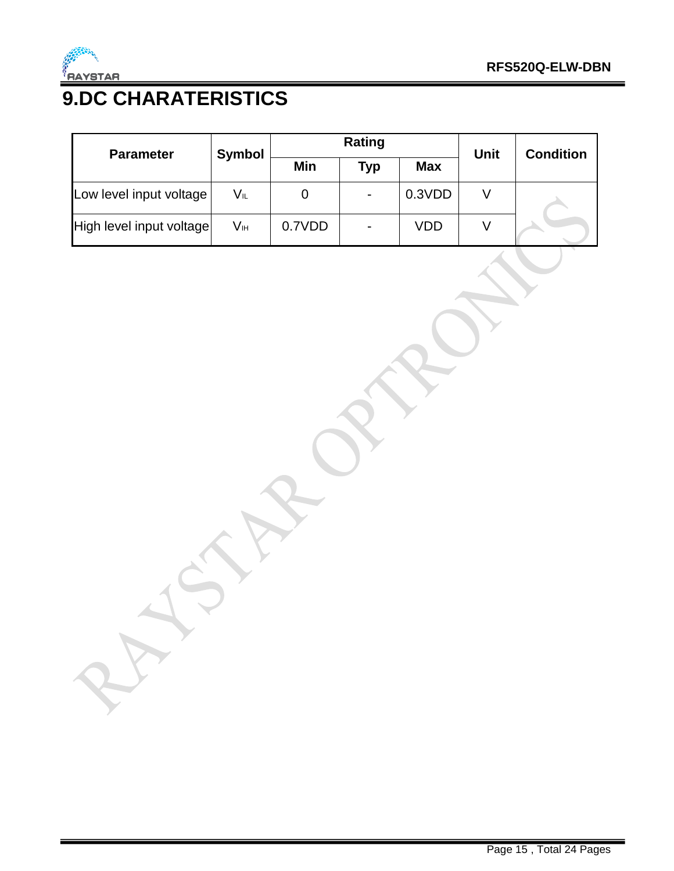

# **9.DC CHARATERISTICS**

| <b>Parameter</b>         | <b>Symbol</b> | Rating |                          |            | <b>Unit</b> | <b>Condition</b> |
|--------------------------|---------------|--------|--------------------------|------------|-------------|------------------|
|                          |               | Min    | <b>Typ</b>               | <b>Max</b> |             |                  |
| Low level input voltage  | VĩL           | 0      | $\overline{\phantom{a}}$ | 0.3VDD     |             |                  |
| High level input voltage | Vн            | 0.7VDD | $\blacksquare$           | VDD        |             |                  |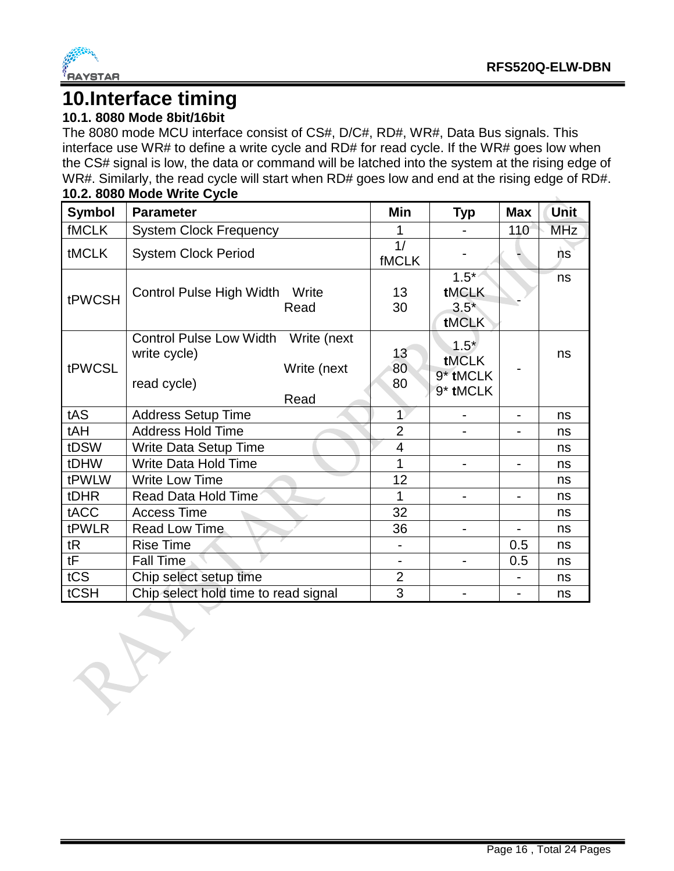

#### **10.Interface timing**

#### **10.1. 8080 Mode 8bit/16bit**

The 8080 mode MCU interface consist of CS#, D/C#, RD#, WR#, Data Bus signals. This interface use WR# to define a write cycle and RD# for read cycle. If the WR# goes low when the CS# signal is low, the data or command will be latched into the system at the rising edge of WR#. Similarly, the read cycle will start when RD# goes low and end at the rising edge of RD#. **10.2. 8080 Mode Write Cycle**

| <b>Symbol</b> | <b>Parameter</b>                                                                          | Min                             | <b>Typ</b>                              | <b>Max</b> | <b>Unit</b> |
|---------------|-------------------------------------------------------------------------------------------|---------------------------------|-----------------------------------------|------------|-------------|
| <b>fMCLK</b>  | <b>System Clock Frequency</b>                                                             |                                 |                                         | 110        | <b>MHz</b>  |
| <b>tMCLK</b>  | <b>System Clock Period</b>                                                                | $\overline{1/}$<br><b>fMCLK</b> |                                         |            | 'ns         |
| tPWCSH        | Control Pulse High Width<br>Write<br>Read                                                 | 13<br>30                        | $1.5*$<br>tMCLK<br>$3.5*$<br>tMCLK      |            | ns          |
| tPWCSL        | Control Pulse Low Width Write (next<br>write cycle)<br>Write (next<br>read cycle)<br>Read | 13<br>80<br>80                  | $1.5*$<br>tMCLK<br>9* tMCLK<br>9* tMCLK |            | ns          |
| tAS           | <b>Address Setup Time</b>                                                                 | $\overline{1}$                  |                                         |            | ns          |
| tAH           | <b>Address Hold Time</b>                                                                  | $\overline{2}$                  |                                         |            | ns          |
| tDSW          | <b>Write Data Setup Time</b>                                                              | $\overline{4}$                  |                                         |            | ns          |
| tDHW          | <b>Write Data Hold Time</b>                                                               | 1                               |                                         |            | ns          |
| tPWLW         | <b>Write Low Time</b>                                                                     | 12                              |                                         |            | ns          |
| tDHR          | Read Data Hold Time                                                                       | 1                               |                                         |            | ns          |
| tACC          | <b>Access Time</b>                                                                        | 32                              |                                         |            | ns          |
| tPWLR         | <b>Read Low Time</b>                                                                      | 36                              |                                         |            | ns          |
| tR            | <b>Rise Time</b>                                                                          |                                 |                                         | 0.5        | ns          |
| tF            | <b>Fall Time</b>                                                                          |                                 |                                         | 0.5        | ns          |
| tCS           | Chip select setup time                                                                    | $\overline{2}$                  |                                         |            | ns          |
| tCSH          | Chip select hold time to read signal                                                      | 3                               |                                         |            | ns          |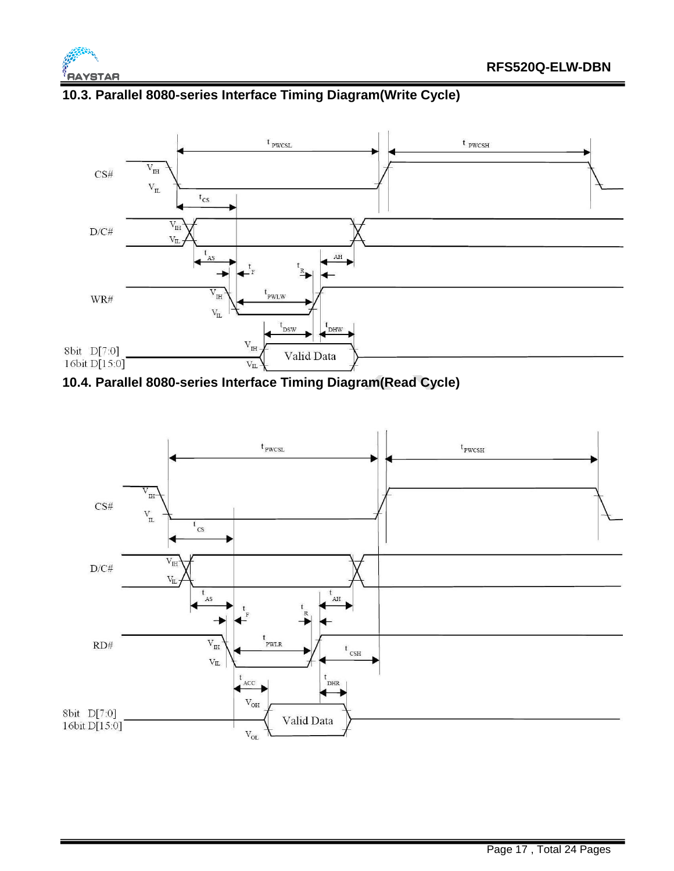



#### **10.3. Parallel 8080-series Interface Timing Diagram(Write Cycle)**



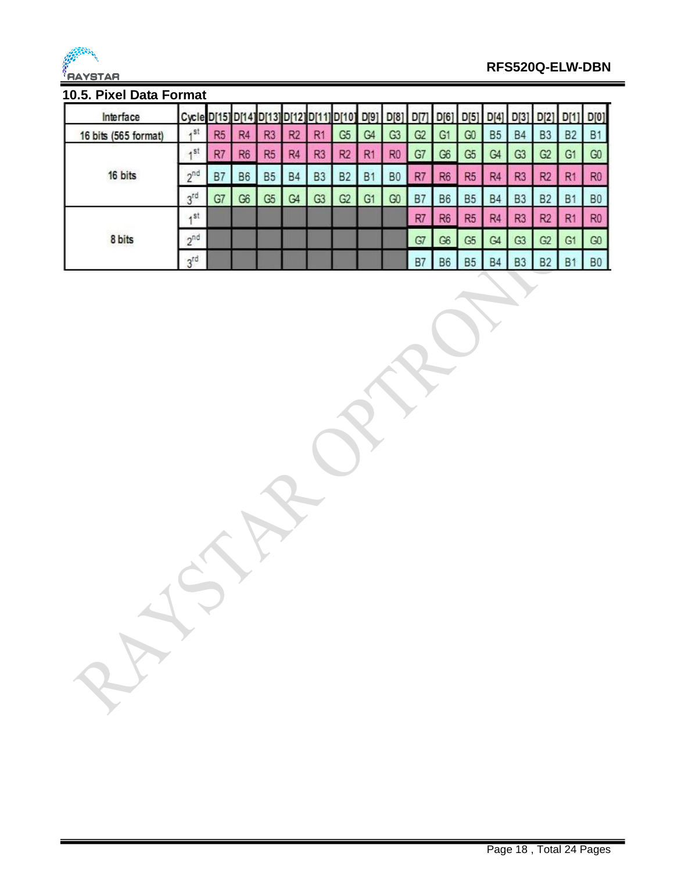

#### **RFS520Q-ELW-DBN**

#### **10.5. Pixel Data Format**

| Interface            | Cycle D[15] D[14] |                |                | D[13]          |                |                | 11 D[10]       | D[9]           | D[8]           |                | D[6]           | D[5]           | D[4]           | D[3]           | D[2]           | D         | D[0]           |
|----------------------|-------------------|----------------|----------------|----------------|----------------|----------------|----------------|----------------|----------------|----------------|----------------|----------------|----------------|----------------|----------------|-----------|----------------|
| 16 bits (565 format) | .51               | R <sub>5</sub> | R <sub>4</sub> | R <sub>3</sub> | R <sub>2</sub> | R <sub>1</sub> | G <sub>5</sub> | G <sub>4</sub> | G3             | G <sub>2</sub> | G <sub>1</sub> | G <sub>0</sub> | <b>B5</b>      | <b>B4</b>      | B <sub>3</sub> | <b>B2</b> | <b>B1</b>      |
|                      | $A$ St            | R <sub>7</sub> | R <sub>6</sub> | R <sub>5</sub> | R <sub>4</sub> | R <sub>3</sub> | R <sub>2</sub> | R <sub>1</sub> | R <sub>0</sub> | G7             | G <sub>6</sub> | G <sub>5</sub> | G <sub>4</sub> | G <sub>3</sub> | G <sub>2</sub> | G1        | G <sub>0</sub> |
| 16 bits              | 2 <sub>n</sub>    | <b>B7</b>      | <b>B6</b>      | B <sub>5</sub> | <b>B4</b>      | B <sub>3</sub> | B <sub>2</sub> | <b>B1</b>      | <b>B0</b>      | R7             | R <sub>6</sub> | R <sub>5</sub> | R <sub>4</sub> | R <sub>3</sub> | R <sub>2</sub> | R1        | R <sub>0</sub> |
|                      | 3 <sup>rd</sup>   | G7             | G <sub>6</sub> | G <sub>5</sub> | G4             | G <sub>3</sub> | G <sub>2</sub> | G <sub>1</sub> | G <sub>0</sub> | B <sub>7</sub> | <b>B6</b>      | <b>B5</b>      | <b>B4</b>      | B <sub>3</sub> | <b>B2</b>      | B         | B <sub>0</sub> |
|                      | $A$ St            |                |                |                |                |                |                |                |                | R7             | R <sub>6</sub> | R <sub>5</sub> | R <sub>4</sub> | R <sub>3</sub> | R <sub>2</sub> | R         | R <sub>0</sub> |
| 8 bits               | $2^{nd}$          |                |                |                |                |                |                |                |                | G7             | G <sub>6</sub> | G <sub>5</sub> | G <sub>4</sub> | G <sub>3</sub> | G2             | G1        | G <sub>0</sub> |
|                      | 3 <sup>rd</sup>   |                |                |                |                |                |                |                |                | <b>B7</b>      | <b>B6</b>      | <b>B5</b>      | <b>B4</b>      | B <sub>3</sub> | <b>B2</b>      | B         | B <sub>0</sub> |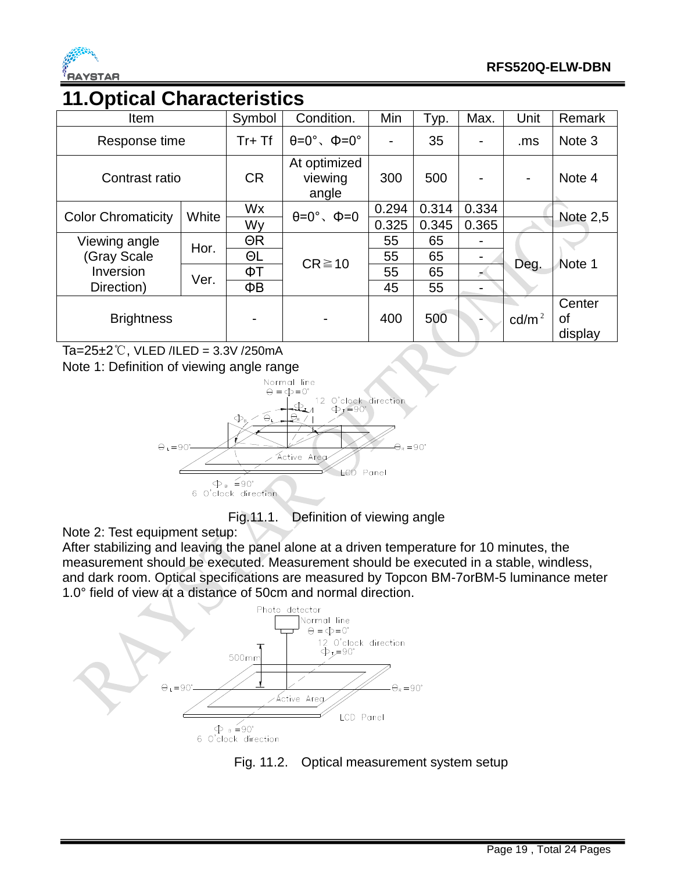

#### **11.Optical Characteristics**

| Item                      | Symbol       | Condition.                            | Min                             | Typ.  | Max.  | Unit  | Remark            |                         |
|---------------------------|--------------|---------------------------------------|---------------------------------|-------|-------|-------|-------------------|-------------------------|
| Response time             | $Tr+Tf$      | $\theta = 0^\circ$ , $\Phi = 0^\circ$ |                                 | 35    |       | .ms   | Note <sub>3</sub> |                         |
| Contrast ratio            | <b>CR</b>    | At optimized<br>viewing<br>angle      | 300                             | 500   |       |       | Note 4            |                         |
| <b>Color Chromaticity</b> | White        | Wx                                    | $\theta = 0^\circ$ , $\Phi = 0$ | 0.294 | 0.314 | 0.334 |                   | <b>Note 2,5</b>         |
|                           |              | Wy                                    |                                 | 0.325 | 0.345 | 0.365 |                   |                         |
| Viewing angle             | Hor.<br>Ver. | $\Theta$ R                            | $CR \ge 10$                     | 55    | 65    |       |                   |                         |
| (Gray Scale               |              | ΘL                                    |                                 | 55    | 65    |       |                   |                         |
| Inversion                 |              | ФT                                    |                                 | 55    | 65    |       | Deg.              | Note 1                  |
| Direction)                |              | ΦB                                    |                                 | 45    | 55    |       |                   |                         |
| <b>Brightness</b>         |              | -                                     |                                 | 400   | 500   |       | $\text{cd/m}^2$   | Center<br>οf<br>display |

Ta= $25±2$ °C, VLED /ILED = 3.3V /250mA

Note 1: Definition of viewing angle range



Fig.11.1. Definition of viewing angle

Note 2: Test equipment setup:

After stabilizing and leaving the panel alone at a driven temperature for 10 minutes, the measurement should be executed. Measurement should be executed in a stable, windless, and dark room. Optical specifications are measured by Topcon BM-7orBM-5 luminance meter 1.0° field of view at a distance of 50cm and normal direction.



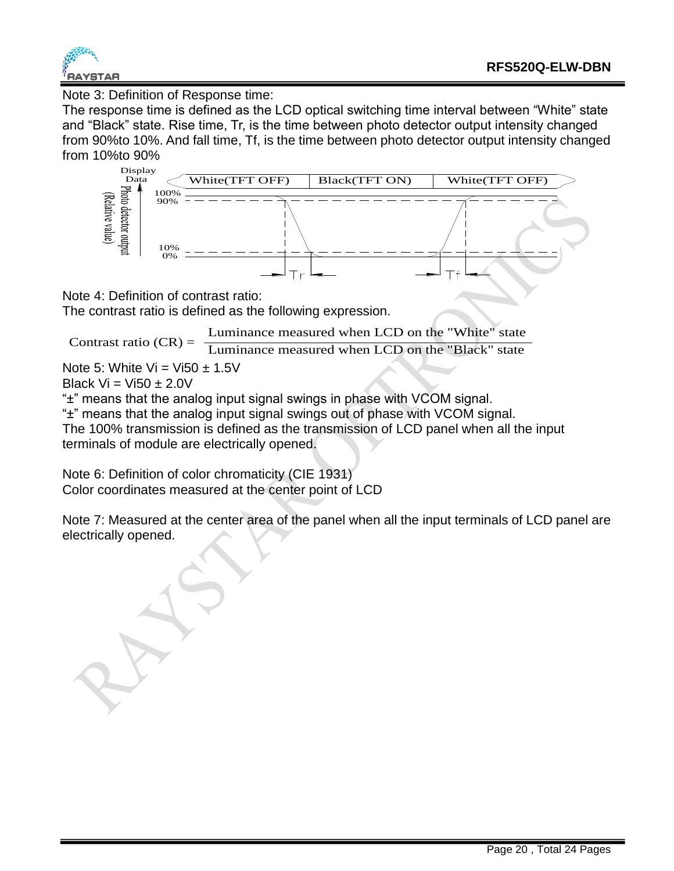

Note 3: Definition of Response time:

The response time is defined as the LCD optical switching time interval between "White" state and "Black" state. Rise time, Tr, is the time between photo detector output intensity changed from 90%to 10%. And fall time, Tf, is the time between photo detector output intensity changed from 10%to 90%



Note 4: Definition of contrast ratio:

The contrast ratio is defined as the following expression.

Luminance measured when LCD on the "White" state

Contrast ratio  $(CR) = \frac{2 \times 10^{-11} \text{ mJ} \cdot \text{mJ}}{Luminance measured when LCD on the "Black" state)}$ 

Note 5: White Vi = Vi50  $\pm$  1.5V

Black  $Vi = Vi50 + 2.0V$ 

"±" means that the analog input signal swings in phase with VCOM signal.

"±" means that the analog input signal swings out of phase with VCOM signal. The 100% transmission is defined as the transmission of LCD panel when all the input terminals of module are electrically opened.

Note 6: Definition of color chromaticity (CIE 1931) Color coordinates measured at the center point of LCD

Note 7: Measured at the center area of the panel when all the input terminals of LCD panel are electrically opened.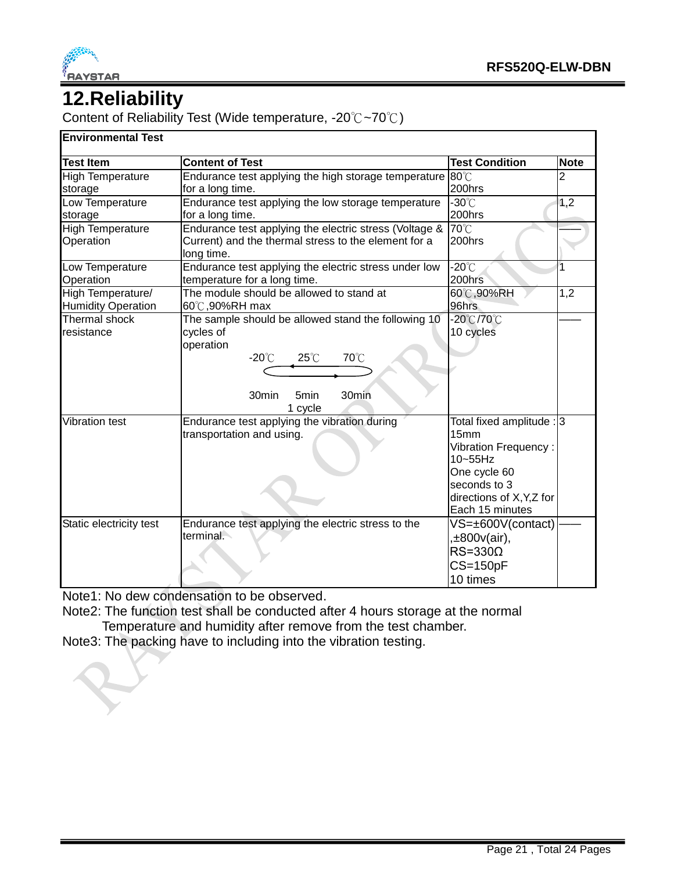

## **12.Reliability**

Content of Reliability Test (Wide temperature, -20℃~70℃)

#### **Environmental Test**

| <b>Test Item</b>          | <b>Content of Test</b>                                             | <b>Test Condition</b>       | <b>Note</b> |
|---------------------------|--------------------------------------------------------------------|-----------------------------|-------------|
| <b>High Temperature</b>   | Endurance test applying the high storage temperature               | $80^{\circ}$ C              | 2           |
| storage                   | for a long time.                                                   | 200hrs                      |             |
| Low Temperature           | Endurance test applying the low storage temperature                | $-30^{\circ}$ C             | 1,2         |
| storage                   | for a long time.                                                   | 200hrs                      |             |
| <b>High Temperature</b>   | Endurance test applying the electric stress (Voltage &             | 70°C                        |             |
| Operation                 | Current) and the thermal stress to the element for a<br>long time. | 200hrs                      |             |
| Low Temperature           | Endurance test applying the electric stress under low              | $-20^{\circ}$ C             | 1           |
| Operation                 | temperature for a long time.                                       | 200hrs                      |             |
| High Temperature/         | The module should be allowed to stand at                           | 60°C,90%RH                  | 1,2         |
| <b>Humidity Operation</b> | 60℃,90%RH max                                                      | 96hrs                       |             |
| <b>Thermal shock</b>      | The sample should be allowed stand the following 10                | -20℃/70℃                    |             |
| resistance                | cycles of                                                          | 10 cycles                   |             |
|                           | operation                                                          |                             |             |
|                           | 70°C<br>$-20^{\circ}$ C<br>$25^{\circ}$ C                          |                             |             |
|                           |                                                                    |                             |             |
|                           | 30min<br>30min<br>5min                                             |                             |             |
|                           | 1 cycle                                                            |                             |             |
| <b>Vibration test</b>     | Endurance test applying the vibration during                       | Total fixed amplitude : 3   |             |
|                           | transportation and using.                                          | 15 <sub>mm</sub>            |             |
|                           |                                                                    | <b>Vibration Frequency:</b> |             |
|                           |                                                                    | 10~55Hz                     |             |
|                           |                                                                    | One cycle 60                |             |
|                           |                                                                    | seconds to 3                |             |
|                           |                                                                    | directions of X, Y, Z for   |             |
|                           |                                                                    | Each 15 minutes             |             |
| Static electricity test   | Endurance test applying the electric stress to the                 | VS=±600V(contact)           |             |
|                           | terminal.                                                          | ,±800v(air),                |             |
|                           |                                                                    | $RS = 330\Omega$            |             |
|                           |                                                                    | $CS = 150pF$                |             |
|                           |                                                                    | 10 times                    |             |

Note1: No dew condensation to be observed.

Note2: The function test shall be conducted after 4 hours storage at the normal Temperature and humidity after remove from the test chamber.

Note3: The packing have to including into the vibration testing.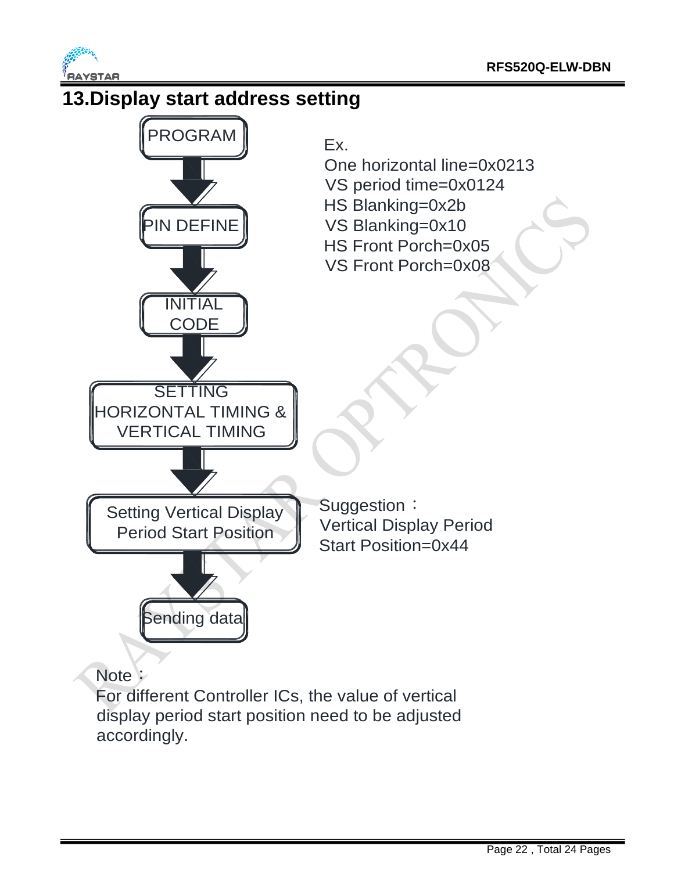

accordingly.

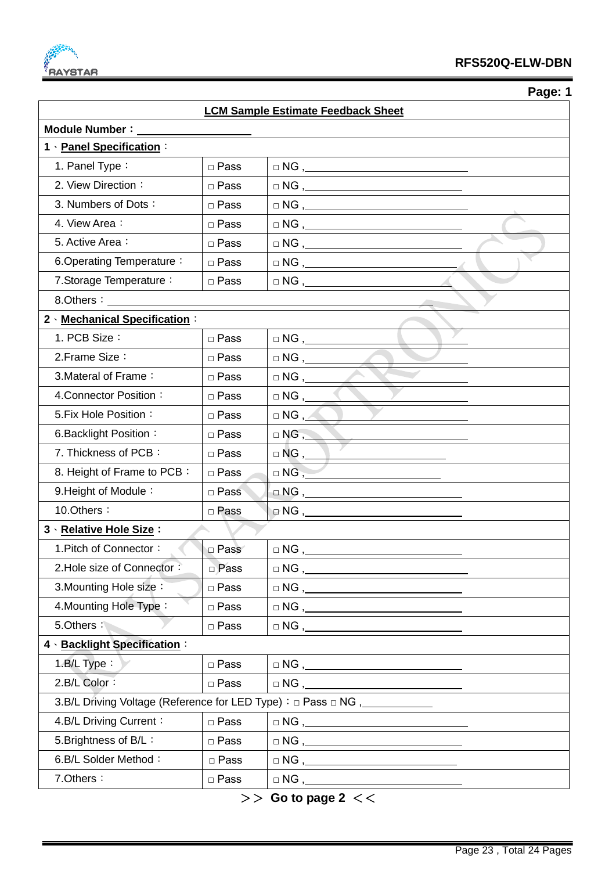

 **Page: 1**

| <b>LCM Sample Estimate Feedback Sheet</b> |             |                                                                                                                                                                                                                                                                                                                                                                                                                                                                                                              |  |  |  |  |
|-------------------------------------------|-------------|--------------------------------------------------------------------------------------------------------------------------------------------------------------------------------------------------------------------------------------------------------------------------------------------------------------------------------------------------------------------------------------------------------------------------------------------------------------------------------------------------------------|--|--|--|--|
| Module Number:                            |             |                                                                                                                                                                                                                                                                                                                                                                                                                                                                                                              |  |  |  |  |
| 1 · Panel Specification:                  |             |                                                                                                                                                                                                                                                                                                                                                                                                                                                                                                              |  |  |  |  |
| 1. Panel Type:                            | □ Pass      |                                                                                                                                                                                                                                                                                                                                                                                                                                                                                                              |  |  |  |  |
| 2. View Direction:                        | □ Pass      | $\begin{tabular}{c} $\square$ NG \end{tabular},$                                                                                                                                                                                                                                                                                                                                                                                                                                                             |  |  |  |  |
| 3. Numbers of Dots:                       | □ Pass      | $\begin{tabular}{c} $\square$ NG \end{tabular},$                                                                                                                                                                                                                                                                                                                                                                                                                                                             |  |  |  |  |
| 4. View Area:                             | □ Pass      | $\begin{tabular}{c} $\square$ NG \end{tabular},$                                                                                                                                                                                                                                                                                                                                                                                                                                                             |  |  |  |  |
| 5. Active Area:                           | $\Box$ Pass | $\begin{tabular}{c} \hline \quad \quad \quad & \quad \quad \quad & \quad \quad \\ \hline \quad \quad \quad & \quad \quad & \quad \quad \\ \hline \quad \quad \quad & \quad \quad & \quad \quad \\ \hline \end{tabular}$                                                                                                                                                                                                                                                                                      |  |  |  |  |
| 6. Operating Temperature:                 | □ Pass      | $\begin{picture}(18,10) \put(0,0){\line(1,0){10}} \put(15,0){\line(1,0){10}} \put(15,0){\line(1,0){10}} \put(15,0){\line(1,0){10}} \put(15,0){\line(1,0){10}} \put(15,0){\line(1,0){10}} \put(15,0){\line(1,0){10}} \put(15,0){\line(1,0){10}} \put(15,0){\line(1,0){10}} \put(15,0){\line(1,0){10}} \put(15,0){\line(1,0){10}} \put(15,0){\line(1$                                                                                                                                                          |  |  |  |  |
| 7. Storage Temperature:                   | □ Pass      |                                                                                                                                                                                                                                                                                                                                                                                                                                                                                                              |  |  |  |  |
| 8.Others:                                 |             |                                                                                                                                                                                                                                                                                                                                                                                                                                                                                                              |  |  |  |  |
| 2 Mechanical Specification:               |             |                                                                                                                                                                                                                                                                                                                                                                                                                                                                                                              |  |  |  |  |
| 1. PCB Size:                              | $\Box$ Pass | $\Box$ NG , _______                                                                                                                                                                                                                                                                                                                                                                                                                                                                                          |  |  |  |  |
| 2. Frame Size:                            | □ Pass      |                                                                                                                                                                                                                                                                                                                                                                                                                                                                                                              |  |  |  |  |
| 3. Materal of Frame:                      | □ Pass      | $\Box$ NG , _____                                                                                                                                                                                                                                                                                                                                                                                                                                                                                            |  |  |  |  |
| 4. Connector Position:                    | □ Pass      | $\Box$ NG , ____                                                                                                                                                                                                                                                                                                                                                                                                                                                                                             |  |  |  |  |
| 5. Fix Hole Position:                     | □ Pass      | $\Box$ NG , $\angle$                                                                                                                                                                                                                                                                                                                                                                                                                                                                                         |  |  |  |  |
| 6. Backlight Position:                    | □ Pass      | $\Box$ NG, $\Box$                                                                                                                                                                                                                                                                                                                                                                                                                                                                                            |  |  |  |  |
| 7. Thickness of PCB:                      | □ Pass      | $\Box$ NG , _____                                                                                                                                                                                                                                                                                                                                                                                                                                                                                            |  |  |  |  |
| 8. Height of Frame to PCB:                | $\Box$ Pass | $\Box$ NG $, \underline{\phantom{A}}$                                                                                                                                                                                                                                                                                                                                                                                                                                                                        |  |  |  |  |
| 9. Height of Module:                      | □ Pass      | $\Box$ NG , _________                                                                                                                                                                                                                                                                                                                                                                                                                                                                                        |  |  |  |  |
| 10.Others:                                | □ Pass      | $\Box$ NG , $\Box$                                                                                                                                                                                                                                                                                                                                                                                                                                                                                           |  |  |  |  |
| 3 · Relative Hole Size:                   |             |                                                                                                                                                                                                                                                                                                                                                                                                                                                                                                              |  |  |  |  |
| 1. Pitch of Connector:                    | □ Pass      | $\Box$ NG , ___                                                                                                                                                                                                                                                                                                                                                                                                                                                                                              |  |  |  |  |
| 2. Hole size of Connector:                | □ Pass      | $\hfill\square {\sf NG} \, , \underline{\hspace{1cm}} \phantom{\square}$                                                                                                                                                                                                                                                                                                                                                                                                                                     |  |  |  |  |
| 3. Mounting Hole size:                    | □ Pass      | $\begin{tabular}{c} \hline \quad \quad $\mathsf{N}\mathsf{G}$, \quad \quad \quad $\mathsf{S}\mathsf{G} \mathsf{G} \mathsf{G} \mathsf{G} \mathsf{G} \mathsf{G} \mathsf{G} \mathsf{G} \mathsf{G} \mathsf{G} \mathsf{G} \mathsf{G} \mathsf{G} \mathsf{G} \mathsf{G} \mathsf{G} \mathsf{G} \mathsf{G} \mathsf{G} \mathsf{G} \mathsf{G} \mathsf{G} \mathsf{G} \mathsf{G} \mathsf{G} \mathsf{G} \mathsf{G} \mathsf{G} \mathsf{G} \mathsf{G} \math$                                                                 |  |  |  |  |
| 4. Mounting Hole Type:                    | □ Pass      | $\begin{tabular}{c} $\fbox{$\sim$} \cr \hline $\sim$ NG \; , \end{tabular}$                                                                                                                                                                                                                                                                                                                                                                                                                                  |  |  |  |  |
| 5.Others:                                 | □ Pass      | $\begin{picture}(150,10) \put(0,0){\dashbox{0.5}(10,0){ }} \put(150,0){\circle{10}} \put(150,0){\circle{10}} \put(150,0){\circle{10}} \put(150,0){\circle{10}} \put(150,0){\circle{10}} \put(150,0){\circle{10}} \put(150,0){\circle{10}} \put(150,0){\circle{10}} \put(150,0){\circle{10}} \put(150,0){\circle{10}} \put(150,0){\circle{10}} \put(150,0){\circle{10}} \put(150,$                                                                                                                            |  |  |  |  |
| 4 · Backlight Specification:              |             |                                                                                                                                                                                                                                                                                                                                                                                                                                                                                                              |  |  |  |  |
| $1.B/L$ Type:                             | □ Pass      | $\begin{tabular}{c} $\fbox{$\sim$} \cr \Box \hspace{2.0pt} \text{NG} \end{tabular} \begin{tabular}{c} \begin{tabular}{c} \hline $\cdots$ \end{tabular} \end{tabular} \end{tabular}$                                                                                                                                                                                                                                                                                                                          |  |  |  |  |
| 2.B/L Color:                              | $\Box$ Pass |                                                                                                                                                                                                                                                                                                                                                                                                                                                                                                              |  |  |  |  |
|                                           |             |                                                                                                                                                                                                                                                                                                                                                                                                                                                                                                              |  |  |  |  |
| 4.B/L Driving Current:                    | □ Pass      | $\begin{tabular}{c} $\fbox{$\sim$} \cr \hline $\sim$ \cr \hline $\sim$ \cr \hline $\sim$ \cr \hline $\sim$ \cr \hline $\sim$ \cr \hline $\sim$ \cr \hline $\sim$ \cr \hline $\sim$ \cr \hline $\sim$ \cr \hline $\sim$ \cr \hline $\sim$ \cr \hline $\sim$ \cr \hline $\sim$ \cr \hline $\sim$ \cr \hline $\sim$ \cr \hline $\sim$ \cr \hline $\sim$ \cr \hline $\sim$ \cr \hline $\sim$ \cr \hline $\sim$ \cr \hline $\sim$ \cr \hline $\sim$ \cr \hline $\sim$ \cr \hline $\sim$ \cr \hline $\sim$ \cr \h$ |  |  |  |  |
| 5. Brightness of B/L:                     | □ Pass      |                                                                                                                                                                                                                                                                                                                                                                                                                                                                                                              |  |  |  |  |
| 6.B/L Solder Method:                      | □ Pass      |                                                                                                                                                                                                                                                                                                                                                                                                                                                                                                              |  |  |  |  |
| 7.Others:                                 | □ Pass      | $\begin{tabular}{c} $\square$ NG \end{tabular},$                                                                                                                                                                                                                                                                                                                                                                                                                                                             |  |  |  |  |
|                                           |             |                                                                                                                                                                                                                                                                                                                                                                                                                                                                                                              |  |  |  |  |

>> **Go to page 2** <<